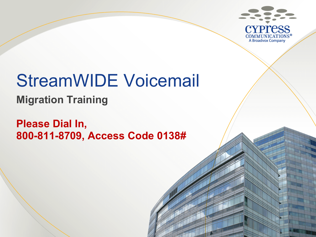

# StreamWIDE Voicemail

**Migration Training**

**Please Dial In, 800-811-8709, Access Code 0138#**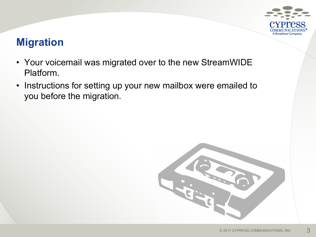

# **Migration**

- Your voicemail was migrated over to the new StreamWIDE Platform.
- Instructions for setting up your new mailbox were emailed to you before the migration.

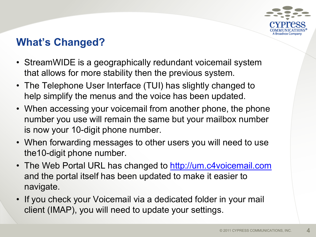

# **What's Changed?**

- StreamWIDE is a geographically redundant voicemail system that allows for more stability then the previous system.
- The Telephone User Interface (TUI) has slightly changed to help simplify the menus and the voice has been updated.
- When accessing your voicemail from another phone, the phone number you use will remain the same but your mailbox number is now your 10-digit phone number.
- When forwarding messages to other users you will need to use the10-digit phone number.
- The Web Portal URL has changed to <http://um.c4voicemail.com> and the portal itself has been updated to make it easier to navigate.
- If you check your Voicemail via a dedicated folder in your mail client (IMAP), you will need to update your settings.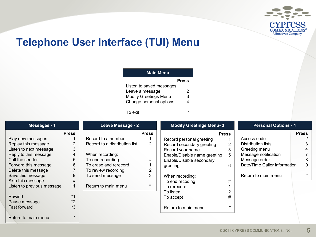

## **Telephone User Interface (TUI) Menu**

| <b>Main Menu</b>             |       |  |  |  |  |  |  |  |
|------------------------------|-------|--|--|--|--|--|--|--|
|                              | Press |  |  |  |  |  |  |  |
| Listen to saved messages     |       |  |  |  |  |  |  |  |
| Leave a message              | 2     |  |  |  |  |  |  |  |
| <b>Modify Greetings Menu</b> | 3     |  |  |  |  |  |  |  |
| Change personal options      | 4     |  |  |  |  |  |  |  |
| To exit                      |       |  |  |  |  |  |  |  |

| Messages - 1               |              | Leave Message - 2             |              | <b>Modify Greetings Menu-3</b> |              | <b>Personal Options - 4</b>  |              |
|----------------------------|--------------|-------------------------------|--------------|--------------------------------|--------------|------------------------------|--------------|
|                            | <b>Press</b> |                               | <b>Press</b> |                                | <b>Press</b> |                              | <b>Press</b> |
| Play new messages          |              | Record to a number            |              | Record personal greeting       |              | Access code                  |              |
| Replay this message        |              | Record to a distribution list | 2            | Record secondary greeting      | 2            | Distribution lists           |              |
| Listen to next message     | 3            |                               |              | Record your name               | 3            | Greeting menu                |              |
| Reply to this message      | 4            | When recording:               |              | Enable/Disable name greeting   | 5.           | Message notification         |              |
| Call the sender            | 5            | To end recording              | #            | Enable/Disable secondary       |              | Message order                |              |
| Forward this message       | 6            | To erase and rerecord         |              | greeting                       | 6            | Date/Time Caller information |              |
| Delete this message        |              | To review recording           |              |                                |              |                              |              |
| Save this message          | 9            | To send message               | 3            | When recording:                |              | Return to main menu          |              |
| Skip this message          | $\#$         |                               |              | To end recoding                | #            |                              |              |
| Listen to previous message | 11           | Return to main menu           |              | To rerecord                    |              |                              |              |
|                            |              |                               |              | To listen                      |              |                              |              |
| Rewind                     | $*1$         |                               |              | To accept                      | #            |                              |              |
| Pause message              | $*_{2}$      |                               |              |                                |              |                              |              |
| <b>Fast forward</b>        | *3           |                               |              | Return to main menu            |              |                              |              |
| Return to main menu        |              |                               |              |                                |              |                              |              |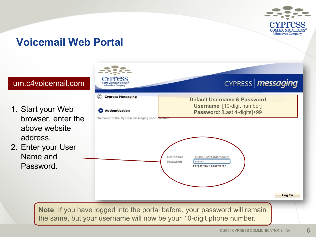

### **Voicemail Web Portal**

#### um.c4voicemail.com

- 1. Start your Web browser, enter the above website address.
- 2. Enter your User Name and Password.



6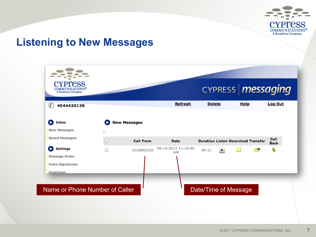

### **Listening to New Messages**

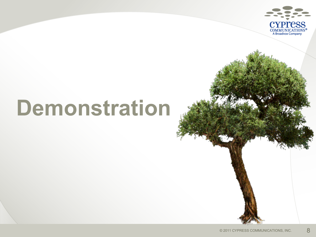

# **Demonstration**

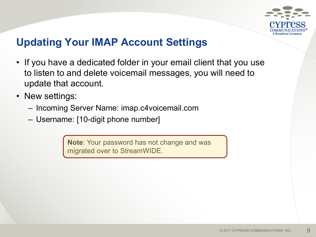

## **Updating Your IMAP Account Settings**

- If you have a dedicated folder in your email client that you use to listen to and delete voicemail messages, you will need to update that account.
- New settings:
	- Incoming Server Name: imap.c4voicemail.com
	- Username: [10-digit phone number]

**Note**: Your password has not change and was migrated over to StreamWIDE.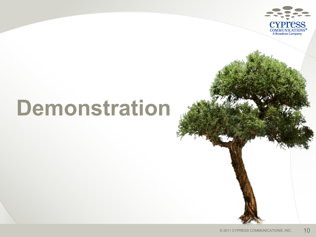

# **Demonstration**

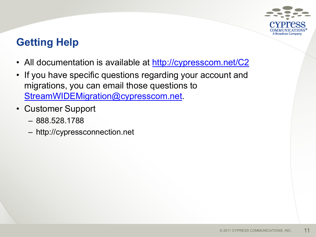

# **Getting Help**

- All documentation is available at<http://cypresscom.net/C2>
- If you have specific questions regarding your account and migrations, you can email those questions to [StreamWIDEMigration@cypresscom.net.](mailto:StreamWIDEMigration@cypresscom.net)
- Customer Support
	- 888.528.1788
	- http://cypressconnection.net